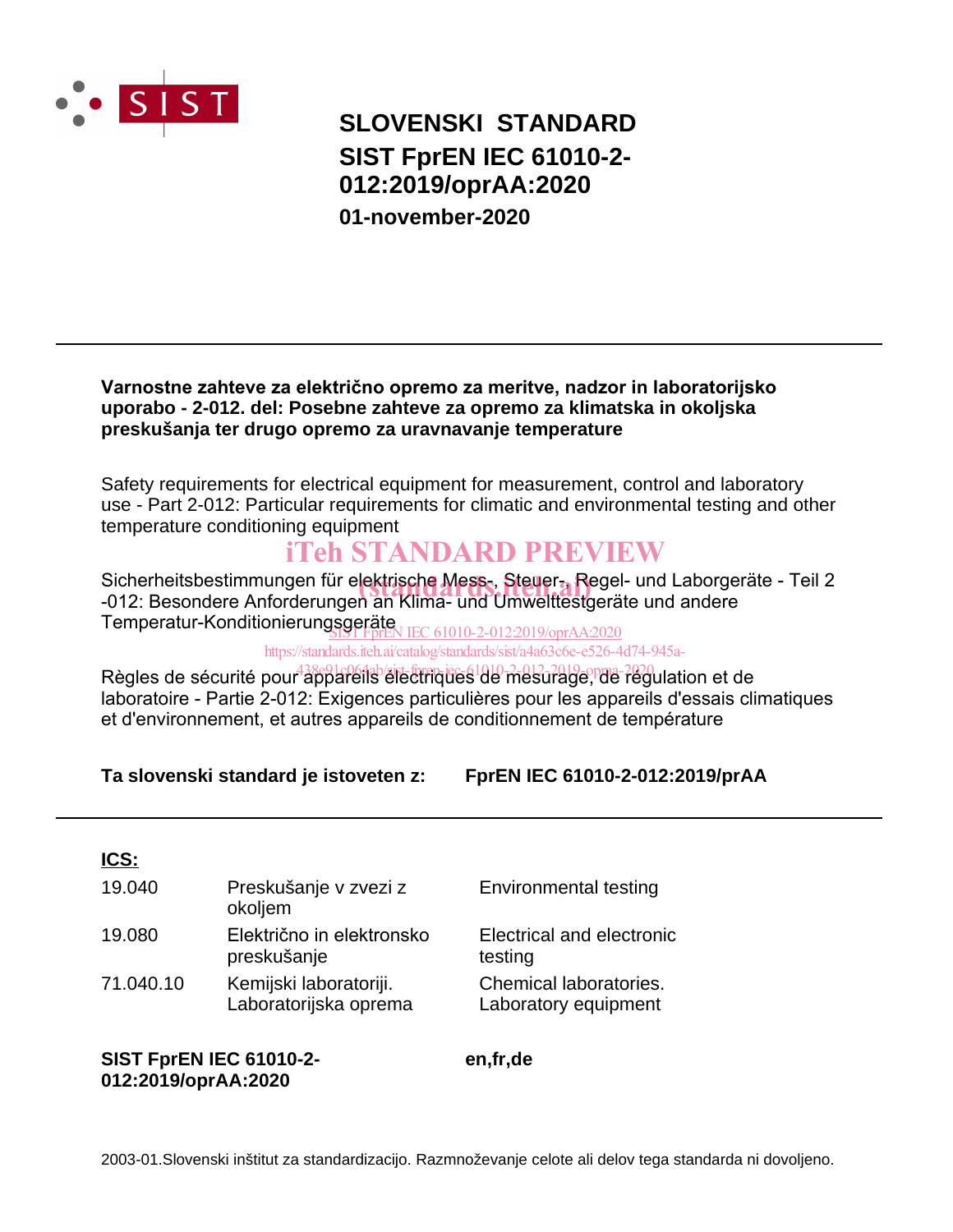

## **SLOVENSKI STANDARD SIST FprEN IEC 61010-2- 012:2019/oprAA:2020 01-november-2020**

#### **Varnostne zahteve za električno opremo za meritve, nadzor in laboratorijsko uporabo - 2-012. del: Posebne zahteve za opremo za klimatska in okoljska preskušanja ter drugo opremo za uravnavanje temperature**

Safety requirements for electrical equipment for measurement, control and laboratory use - Part 2-012: Particular requirements for climatic and environmental testing and other temperature conditioning equipment

## iTeh STANDARD PREVIEW

Sicherheitsbestimmungen für elektrisch**e Mess-, Steuer-, R**egel- und Laborgeräte - Teil 2<br>-012: Besondere Anforderungen an Klima- und Umwelftestgeräte und andere -012: Besondere Anforderungen an Klima- und Umwelttestgeräte und andere Temperatur-Konditionierungsgeräte SIST FprEN IEC 61010-2-012:2019/oprAA:2020

https://standards.iteh.ai/catalog/standards/sist/a4a63c6e-e526-4d74-945a-

Règles de sécurité pour appareils électriques de mesurage, de régulation et de laboratoire - Partie 2-012: Exigences particulières pour les appareils d'essais climatiques et d'environnement, et autres appareils de conditionnement de température

**Ta slovenski standard je istoveten z: FprEN IEC 61010-2-012:2019/prAA**

### **ICS:**

| 19.040    | Preskušanje v zvezi z<br>okoljem                | <b>Environmental testing</b>                   |
|-----------|-------------------------------------------------|------------------------------------------------|
| 19.080    | Električno in elektronsko<br>preskušanje        | Electrical and electronic<br>testing           |
| 71.040.10 | Kemijski laboratoriji.<br>Laboratorijska oprema | Chemical laboratories.<br>Laboratory equipment |

**SIST FprEN IEC 61010-2- 012:2019/oprAA:2020**

**en,fr,de**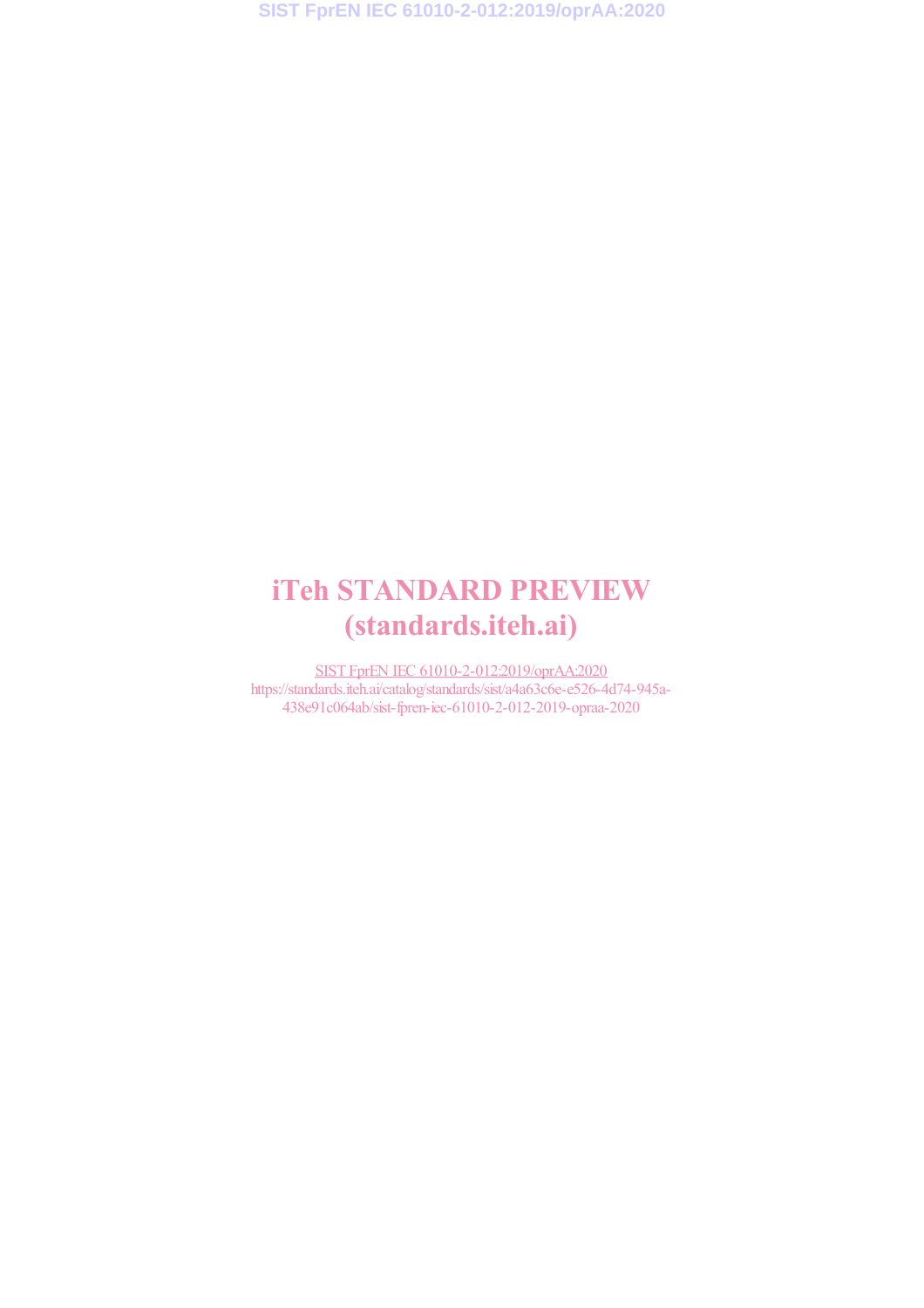**SIST FprEN IEC 61010-2-012:2019/oprAA:2020**

# iTeh STANDARD PREVIEW (standards.iteh.ai)

SIST FprEN IEC 61010-2-012:2019/oprAA:2020 https://standards.iteh.ai/catalog/standards/sist/a4a63c6e-e526-4d74-945a-438e91c064ab/sist-fpren-iec-61010-2-012-2019-opraa-2020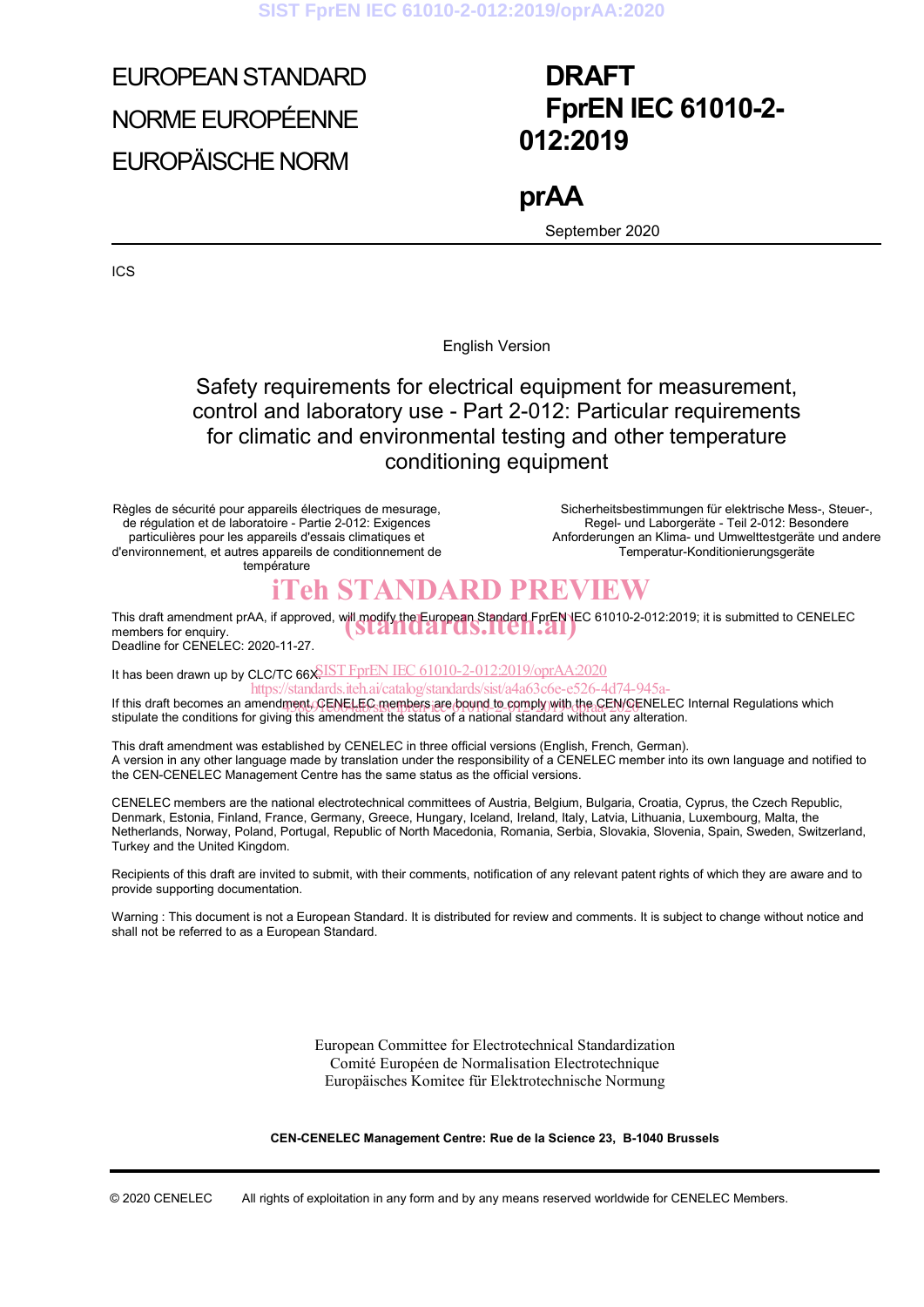**SIST FprEN IEC 61010-2-012:2019/oprAA:2020**

# EUROPEAN STANDARD NORME EUROPÉENNE EUROPÄISCHE NORM

## **DRAFT FprEN IEC 61010-2- 012:2019**

**prAA**  September 2020

ICS

English Version

## Safety requirements for electrical equipment for measurement, control and laboratory use - Part 2-012: Particular requirements for climatic and environmental testing and other temperature conditioning equipment

Règles de sécurité pour appareils électriques de mesurage, de régulation et de laboratoire - Partie 2-012: Exigences particulières pour les appareils d'essais climatiques et d'environnement, et autres appareils de conditionnement de température

 Sicherheitsbestimmungen für elektrische Mess-, Steuer-, Regel- und Laborgeräte - Teil 2-012: Besondere Anforderungen an Klima- und Umwelttestgeräte und andere Temperatur-Konditionierungsgeräte

## iTeh STANDARD PREVIEW

This draft amendment prAA, if approved, will modify the European Standard FprEN IEC 61010-2-012:2019; it is submitted to CENELEC members for enquiry. members for enquiry. Deadline for CENELEC: 2020-11-27.

It has been drawn up by CLC/TC 66X SIST FprEN IEC 61010-2-012:2019/oprAA:2020

If this draft becomes an amendment, CENELEC members are bound to comply with the CEN/CENELEC Internal Regulations which the complete the complete state of the complete of the conditions which the conditions of the conditio stipulate the conditions for giving this amendment the status of a national standard without any alteration. https://standards.iteh.ai/catalog/standards/sist/a4a63c6e-e526-4d74-945a-

This draft amendment was established by CENELEC in three official versions (English, French, German). A version in any other language made by translation under the responsibility of a CENELEC member into its own language and notified to the CEN-CENELEC Management Centre has the same status as the official versions.

CENELEC members are the national electrotechnical committees of Austria, Belgium, Bulgaria, Croatia, Cyprus, the Czech Republic, Denmark, Estonia, Finland, France, Germany, Greece, Hungary, Iceland, Ireland, Italy, Latvia, Lithuania, Luxembourg, Malta, the Netherlands, Norway, Poland, Portugal, Republic of North Macedonia, Romania, Serbia, Slovakia, Slovenia, Spain, Sweden, Switzerland, Turkey and the United Kingdom.

Recipients of this draft are invited to submit, with their comments, notification of any relevant patent rights of which they are aware and to provide supporting documentation.

Warning : This document is not a European Standard. It is distributed for review and comments. It is subject to change without notice and shall not be referred to as a European Standard.

> European Committee for Electrotechnical Standardization Comité Européen de Normalisation Electrotechnique Europäisches Komitee für Elektrotechnische Normung

**CEN-CENELEC Management Centre: Rue de la Science 23, B-1040 Brussels** 

© 2020 CENELEC All rights of exploitation in any form and by any means reserved worldwide for CENELEC Members.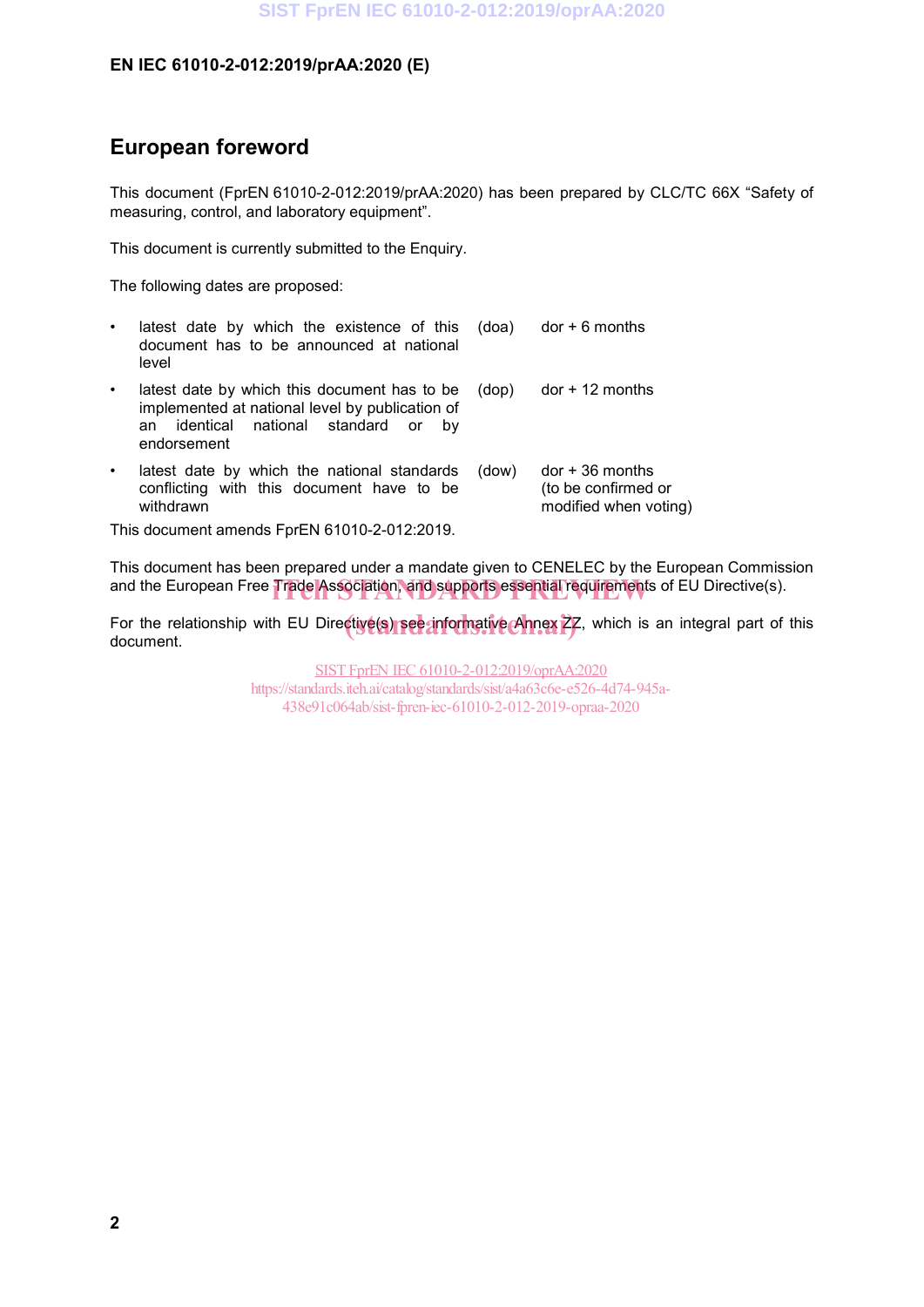## **European foreword**

This document (FprEN 61010-2-012:2019/prAA:2020) has been prepared by CLC/TC 66X "Safety of measuring, control, and laboratory equipment".

This document is currently submitted to the Enquiry.

The following dates are proposed:

- latest date by which the existence of this document has to be announced at national level  $(doa)$  dor  $+ 6$  months
- latest date by which this document has to be implemented at national level by publication of an identical national standard or by endorsement (dop) dor + 12 months
- latest date by which the national standards conflicting with this document have to be withdrawn (dow) dor + 36 months (to be confirmed or modified when voting)

This document amends FprEN 61010-2-012:2019.

This document has been prepared under a mandate given to CENELEC by the European Commission and the European Free Trade Association, and supports essential requirements of EU Directive(s).

For the relationship with EU Directive(s) see informative Annex 27, which is an integral part of this document document.

> SIST FprEN IEC 61010-2-012:2019/oprAA:2020 https://standards.iteh.ai/catalog/standards/sist/a4a63c6e-e526-4d74-945a-438e91c064ab/sist-fpren-iec-61010-2-012-2019-opraa-2020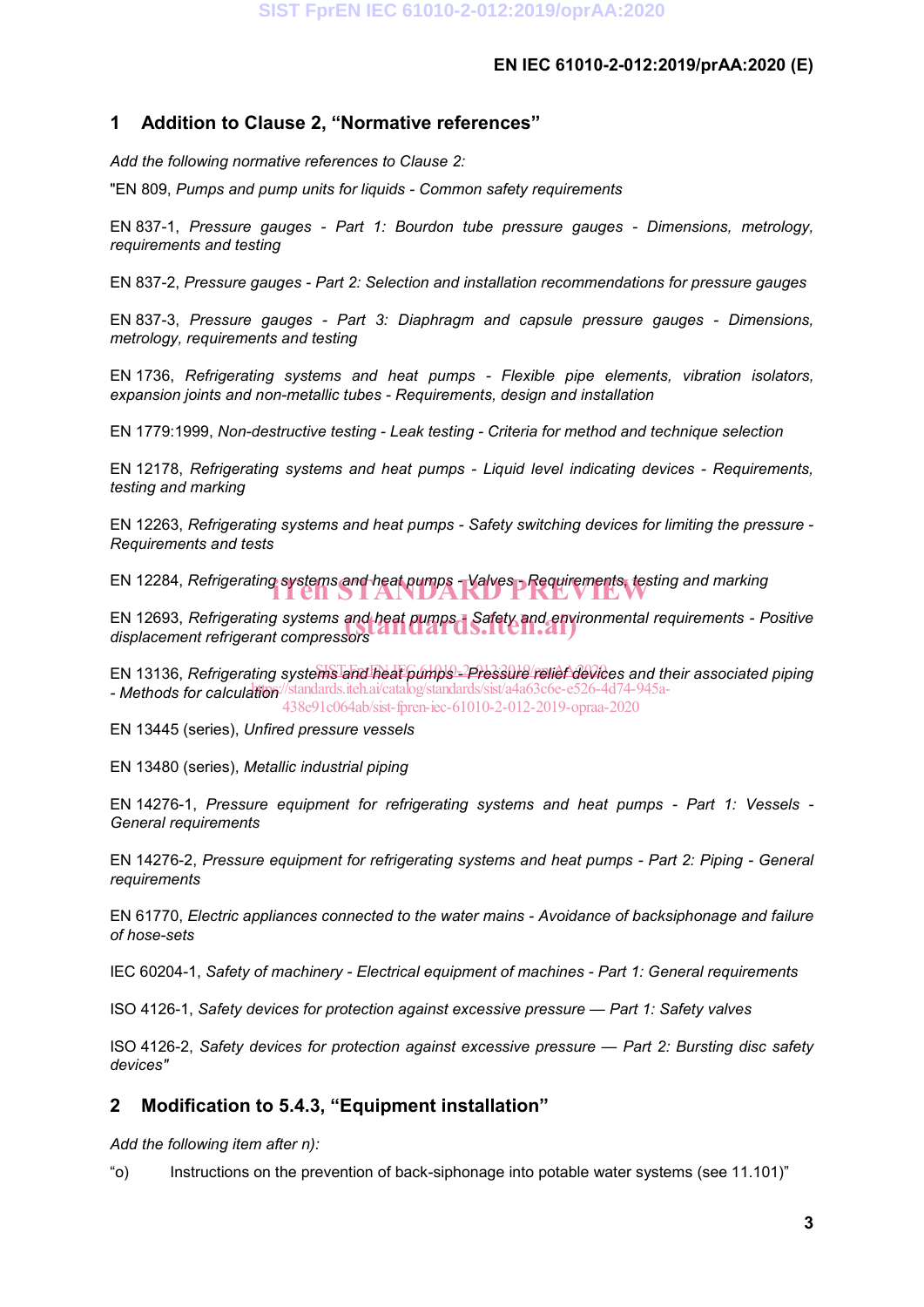## **1 Addition to Clause 2, "Normative references"**

*Add the following normative references to Clause 2:*

"EN 809, *Pumps and pump units for liquids - Common safety requirements*

EN 837-1, *Pressure gauges - Part 1: Bourdon tube pressure gauges - Dimensions, metrology, requirements and testing*

EN 837-2, *Pressure gauges - Part 2: Selection and installation recommendations for pressure gauges*

EN 837-3, *Pressure gauges - Part 3: Diaphragm and capsule pressure gauges - Dimensions, metrology, requirements and testing*

EN 1736, *Refrigerating systems and heat pumps - Flexible pipe elements, vibration isolators, expansion joints and non-metallic tubes - Requirements, design and installation*

EN 1779:1999, *Non-destructive testing - Leak testing - Criteria for method and technique selection*

EN 12178, *Refrigerating systems and heat pumps - Liquid level indicating devices - Requirements, testing and marking*

EN 12263, *Refrigerating systems and heat pumps - Safety switching devices for limiting the pressure - Requirements and tests*

EN 12284, *Refrigerating systems and heat pumps - Valves* - *Requirements, testing and marking* 

EN 12693, *Refrigerating systems and heat pumps - Safety and environmental requirements - Positive*<br>displacement refrigerant compressors *displacement refrigerant compressors*

EN 13136, *Refrigerating systems and heat pumps - <sup>2</sup>Pressure relief devices and their associated piping* - Methods for calculation<sup>://standards.iteh.ai/catalog/standards/sist/a4a63c6e-e526-4d74-945a-</sup> 438e91c064ab/sist-fpren-iec-61010-2-012-2019-opraa-2020

EN 13445 (series), *Unfired pressure vessels*

EN 13480 (series), *Metallic industrial piping*

EN 14276-1, *Pressure equipment for refrigerating systems and heat pumps - Part 1: Vessels - General requirements*

EN 14276-2, *Pressure equipment for refrigerating systems and heat pumps - Part 2: Piping - General requirements*

EN 61770, *Electric appliances connected to the water mains - Avoidance of backsiphonage and failure of hose-sets*

IEC 60204-1, *Safety of machinery - Electrical equipment of machines - Part 1: General requirements*

ISO 4126-1, *Safety devices for protection against excessive pressure — Part 1: Safety valves*

ISO 4126-2, *Safety devices for protection against excessive pressure — Part 2: Bursting disc safety devices"*

## **2 Modification to 5.4.3, "Equipment installation"**

*Add the following item after n):*

"o) Instructions on the prevention of back-siphonage into potable water systems (see 11.101)"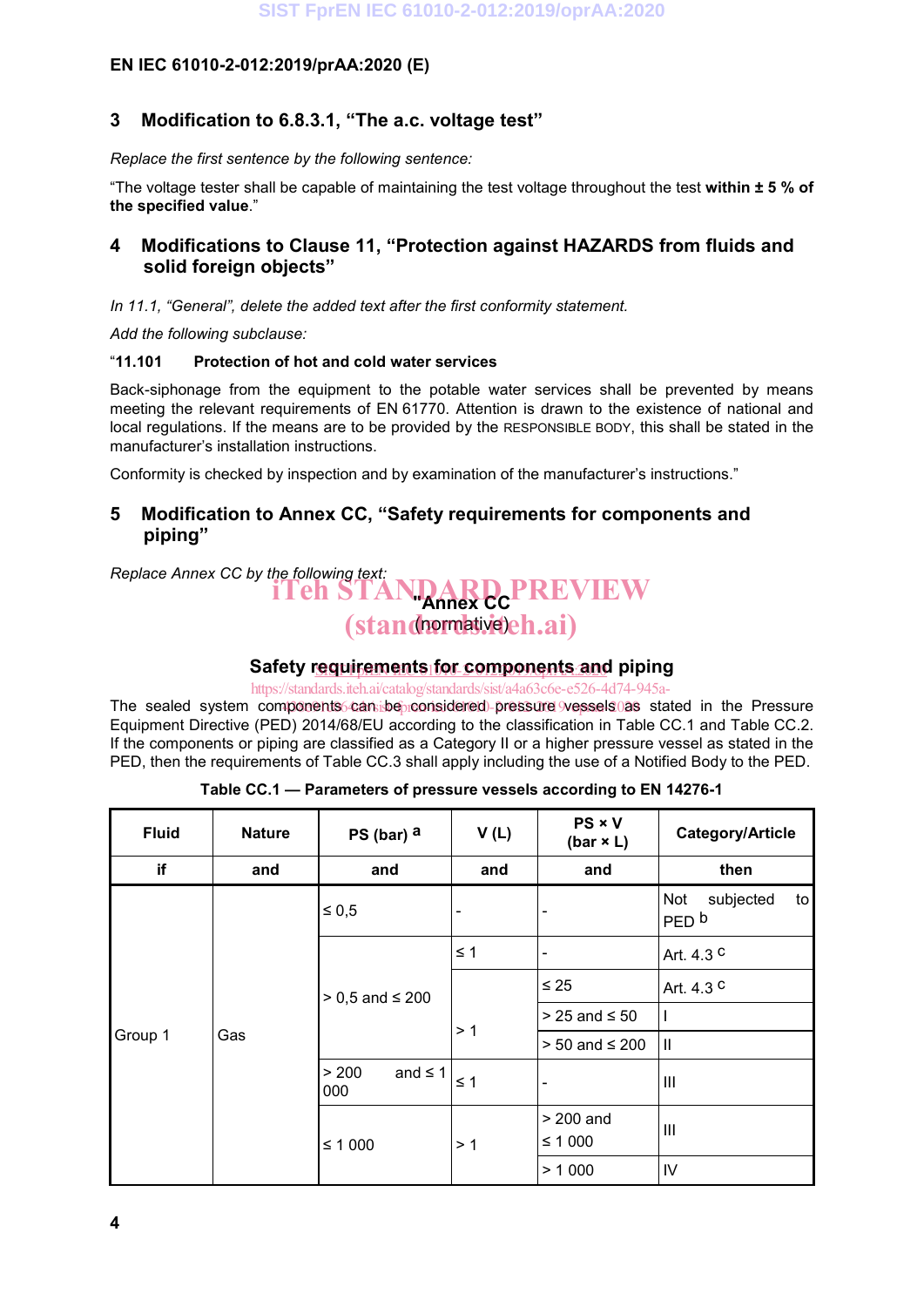#### **3 Modification to 6.8.3.1, "The a.c. voltage test"**

*Replace the first sentence by the following sentence:*

"The voltage tester shall be capable of maintaining the test voltage throughout the test **within ± 5 % of the specified value**."

#### **4 Modifications to Clause 11, "Protection against HAZARDS from fluids and solid foreign objects"**

*In 11.1, "General", delete the added text after the first conformity statement.*

*Add the following subclause:*

#### "**11.101 Protection of hot and cold water services**

Back-siphonage from the equipment to the potable water services shall be prevented by means meeting the relevant requirements of EN 61770. Attention is drawn to the existence of national and local regulations. If the means are to be provided by the RESPONSIBLE BODY, this shall be stated in the manufacturer's installation instructions.

Conformity is checked by inspection and by examination of the manufacturer's instructions."

#### **5 Modification to Annex CC, "Safety requirements for components and piping"**

## *Replace Annex CC by the following text:* **The STANDARD PREVIEW** (standormative)eh.ai)

#### Safety r<u>equirements for components an</u>d piping

https://standards.iteh.ai/catalog/standards/sist/a4a63c6e-e526-4d74-945a-

The sealed system components can be considered pressure vessels as stated in the Pressure Equipment Directive (PED) 2014/68/EU according to the classification in Table CC.1 and Table CC.2. If the components or piping are classified as a Category II or a higher pressure vessel as stated in the PED, then the requirements of Table CC.3 shall apply including the use of a Notified Body to the PED.

| <b>Fluid</b> | <b>Nature</b><br>PS (bar) $a$ |                              | V(L)     | $PS \times V$<br>(bar $\times$ L) | Category/Article                           |  |
|--------------|-------------------------------|------------------------------|----------|-----------------------------------|--------------------------------------------|--|
| if           | and                           | and                          | and      | and                               | then                                       |  |
| Group 1      | Gas                           | $\leq 0.5$                   |          | $\overline{\phantom{a}}$          | subjected<br>Not<br>to<br>PED <sub>b</sub> |  |
|              |                               |                              | $\leq 1$ | $\overline{\phantom{a}}$          | Art. 4.3 $c$                               |  |
|              |                               | $> 0.5$ and $\leq 200$       |          | $\leq 25$                         | Art. 4.3 C                                 |  |
|              |                               |                              | >1       | $> 25$ and $\leq 50$              |                                            |  |
|              |                               |                              |          | $> 50$ and $\leq 200$             | $\mathbf{  }$                              |  |
|              |                               | and $\leq$ 1<br>> 200<br>000 | $\leq 1$ | $\overline{\phantom{a}}$          | Ш                                          |  |
|              |                               | $≤ 1000$                     | >1       | $> 200$ and                       | Ш                                          |  |
|              |                               |                              |          | $≤ 1000$                          |                                            |  |
|              |                               |                              |          | > 1000                            | IV                                         |  |

**Table CC.1 — Parameters of pressure vessels according to EN 14276-1**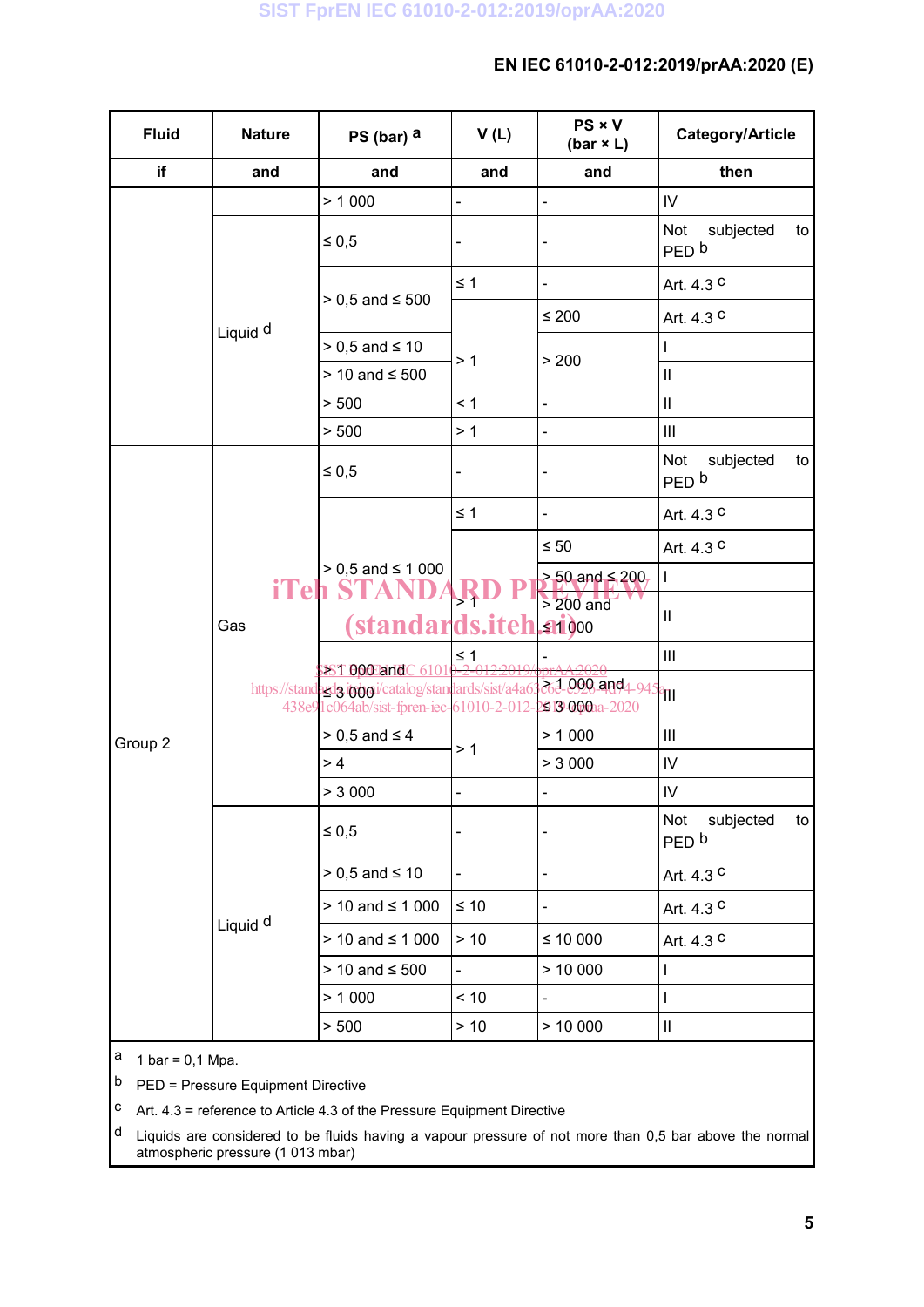| <b>Fluid</b> | <b>Nature</b><br>PS (bar) $a$ |                                                                          | V(L)      | PS × V<br>(bar $\times$ L)                | Category/Article                           |
|--------------|-------------------------------|--------------------------------------------------------------------------|-----------|-------------------------------------------|--------------------------------------------|
| if           | and<br>and                    |                                                                          | and       | and                                       | then                                       |
|              |                               | > 1000                                                                   |           | $\qquad \qquad \blacksquare$              | $\mathsf{IV}$                              |
|              | Liquid <sup>d</sup>           | $\leq 0.5$                                                               |           | $\frac{1}{2}$                             | Not<br>subjected<br>to<br>PED <sub>b</sub> |
|              |                               | $> 0.5$ and $\leq 500$                                                   | $\leq 1$  | $\overline{\phantom{a}}$                  | Art. 4.3 C                                 |
|              |                               |                                                                          |           | $\leq 200$                                | Art. 4.3 C                                 |
|              |                               | $> 0.5$ and $\leq 10$                                                    |           |                                           |                                            |
|              |                               | > 10 and ≤ 500                                                           | >1        | > 200                                     | $\mathbf{  }$                              |
|              |                               | > 500                                                                    | < 1       | $\blacksquare$                            | $\ensuremath{\mathsf{II}}$                 |
|              |                               | > 500                                                                    | > 1       | $\blacksquare$                            | $\ensuremath{\mathsf{III}}\xspace$         |
|              | Gas                           | $\leq 0.5$                                                               |           | $\qquad \qquad \blacksquare$              | Not<br>subjected<br>to<br>PED <sub>b</sub> |
|              |                               |                                                                          | $\leq 1$  | $\blacksquare$                            | Art. 4.3 C                                 |
|              |                               | $> 0.5$ and $\leq 1000$                                                  |           | $\leq 50$                                 | Art. 4.3 C                                 |
|              |                               |                                                                          |           | $> 50$ and $\leq 200$ ,                   | $\mathsf{I}$                               |
|              |                               | <b>iTeh STAN</b><br><i><b>(standards.iteh.ai)000</b></i>                 |           | $> 200$ and                               | $\vert\vert$                               |
|              |                               | <b>SIST OOO and C 61010-</b>                                             | $\leq 1$  |                                           | $\ensuremath{\mathsf{III}}\xspace$         |
| Group 2      |                               | https://standards/sist/a4a6.<br>438e91c064ab/sist-fpren-iec-61010-2-012- |           | $262.092$ and 4-945 and<br>2913000aa-2020 |                                            |
|              |                               | $> 0,5$ and $\leq 4$                                                     | >1        | > 1000                                    | $\ensuremath{\mathsf{III}}\xspace$         |
|              |                               | >4                                                                       |           | > 3000                                    | ${\sf IV}$                                 |
|              |                               | > 3000                                                                   |           |                                           | $\mathsf{IV}$                              |
|              | Liquid <sup>d</sup>           | $\leq 0.5$                                                               |           |                                           | Not<br>subjected<br>to<br>PED <sub>b</sub> |
|              |                               | $> 0.5$ and $\leq 10$                                                    |           | $\frac{1}{2}$                             | Art. 4.3 C                                 |
|              |                               | $> 10$ and $\leq 1000$                                                   | $\leq 10$ | $\overline{\phantom{a}}$                  | Art. 4.3 C                                 |
|              |                               | $> 10$ and $\leq 1000$                                                   | $>10$     | $≤ 10000$                                 | Art. 4.3 C                                 |
|              |                               | $> 10$ and $\leq 500$                                                    |           | > 10000                                   |                                            |
|              |                               | > 1000                                                                   | < 10      |                                           |                                            |
|              |                               | > 500                                                                    | > 10      | > 10000                                   | $\mathbf{II}$                              |

 $a$  1 bar = 0,1 Mpa.

 $\vert$ b PED = Pressure Equipment Directive

 $\vert$ <sup>c</sup> Art. 4.3 = reference to Article 4.3 of the Pressure Equipment Directive

<sup>d</sup> Liquids are considered to be fluids having a vapour pressure of not more than 0,5 bar above the normal atmospheric pressure (1 013 mbar)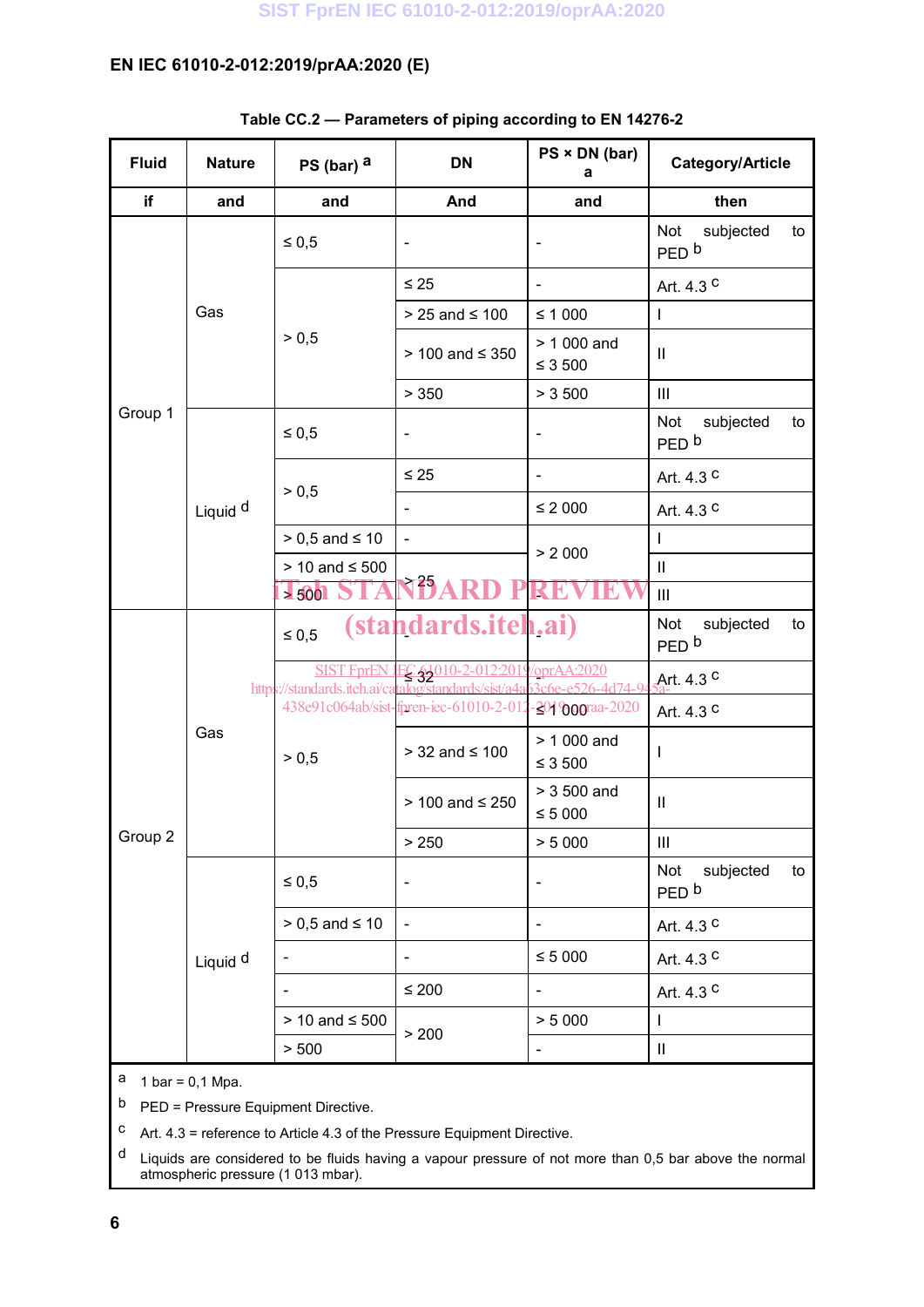| <b>Fluid</b> | <b>Nature</b>       | PS (bar) $a$          | <b>DN</b>                                                                                                           | $PS \times DN$ (bar)<br>а     | <b>Category/Article</b>                    |
|--------------|---------------------|-----------------------|---------------------------------------------------------------------------------------------------------------------|-------------------------------|--------------------------------------------|
| if           | and                 | and                   | And                                                                                                                 | and                           | then                                       |
|              | Gas                 | $\leq 0.5$            | $\overline{\phantom{a}}$                                                                                            |                               | Not<br>subjected<br>to<br>PED <sub>b</sub> |
|              |                     | > 0,5                 | $\leq 25$                                                                                                           | $\overline{\phantom{a}}$      | Art. 4.3 C                                 |
|              |                     |                       | $> 25$ and $\leq 100$                                                                                               | $≤ 1000$                      | $\mathbf{I}$                               |
|              |                     |                       | > 100 and ≤ 350                                                                                                     | $> 1000$ and<br>$≤ 3500$      | $\mathbf{  }$                              |
|              |                     |                       | > 350                                                                                                               | > 3500                        | Ш                                          |
| Group 1      |                     | $\leq 0.5$            | $\overline{\phantom{0}}$                                                                                            | $\overline{\phantom{0}}$      | Not<br>subjected<br>to<br>PED <sub>b</sub> |
|              |                     | > 0,5                 | $\leq 25$                                                                                                           | $\overline{\phantom{a}}$      | Art. 4.3 C                                 |
|              | Liquid <sup>d</sup> |                       | $\blacksquare$                                                                                                      | $\leq 2000$                   | Art. 4.3 C                                 |
|              |                     | $> 0.5$ and $\leq 10$ | $\blacksquare$                                                                                                      | > 2000                        | T                                          |
|              |                     | > 10 and ≤ 500        |                                                                                                                     |                               | $\mathbf{  }$                              |
|              |                     | > 500                 | <b>NBARD PRE</b>                                                                                                    |                               | $\mathbf{III}$                             |
| Group 2      | Gas                 | $\leq 0.5$            | <i>(standards.iteh.ai)</i>                                                                                          |                               | Not<br>subjected<br>to<br>PED <sub>b</sub> |
|              |                     |                       | SIST FprEN JEC 51010-2-012:2019/oprAA:2020<br>https://standards.iteh.ai/catalog/standards/sist/a4a63c6e-e526-4d74-9 |                               | Art. 4.3 <sup>C</sup>                      |
|              |                     |                       | 438e91c064ab/sist-fpren-iec-61010-2-012-2019oograa-2020                                                             |                               | Art. 4.3 C                                 |
|              |                     | > 0,5                 | $> 32$ and $\leq 100$                                                                                               | > 1 000 and<br>$\leq 3$ 500   | $\mathbf{I}$                               |
|              |                     |                       | $> 100$ and $\leq 250$                                                                                              | $> 3500$ and<br>$\leq 5\ 000$ | $\mathbf{I}$                               |
|              |                     |                       | > 250                                                                                                               | > 5000                        | Ш                                          |
|              | Liquid <sup>d</sup> | $\leq 0.5$            | $\qquad \qquad -$                                                                                                   | $\overline{\phantom{0}}$      | Not<br>subjected<br>to<br>PED <sub>b</sub> |
|              |                     | $> 0.5$ and $\leq 10$ | $\blacksquare$                                                                                                      |                               | Art. 4.3 C                                 |
|              |                     |                       | $\overline{\phantom{0}}$                                                                                            | $\leq 5\ 000$                 | Art. 4.3 C                                 |
|              |                     |                       | $\leq 200$                                                                                                          |                               | Art. 4.3 C                                 |
|              |                     | > 10 and ≤ 500        |                                                                                                                     | > 5000                        | $\mathsf I$                                |
|              |                     | > 500                 | > 200                                                                                                               |                               | $\vert\vert$                               |

#### **Table CC.2 — Parameters of piping according to EN 14276-2**

a  $1 \text{ bar} = 0.1 \text{ Mpa}$ .

b PED = Pressure Equipment Directive.

<sup>C</sup> Art.  $4.3$  = reference to Article 4.3 of the Pressure Equipment Directive.

d Liquids are considered to be fluids having a vapour pressure of not more than 0,5 bar above the normal atmospheric pressure (1 013 mbar).